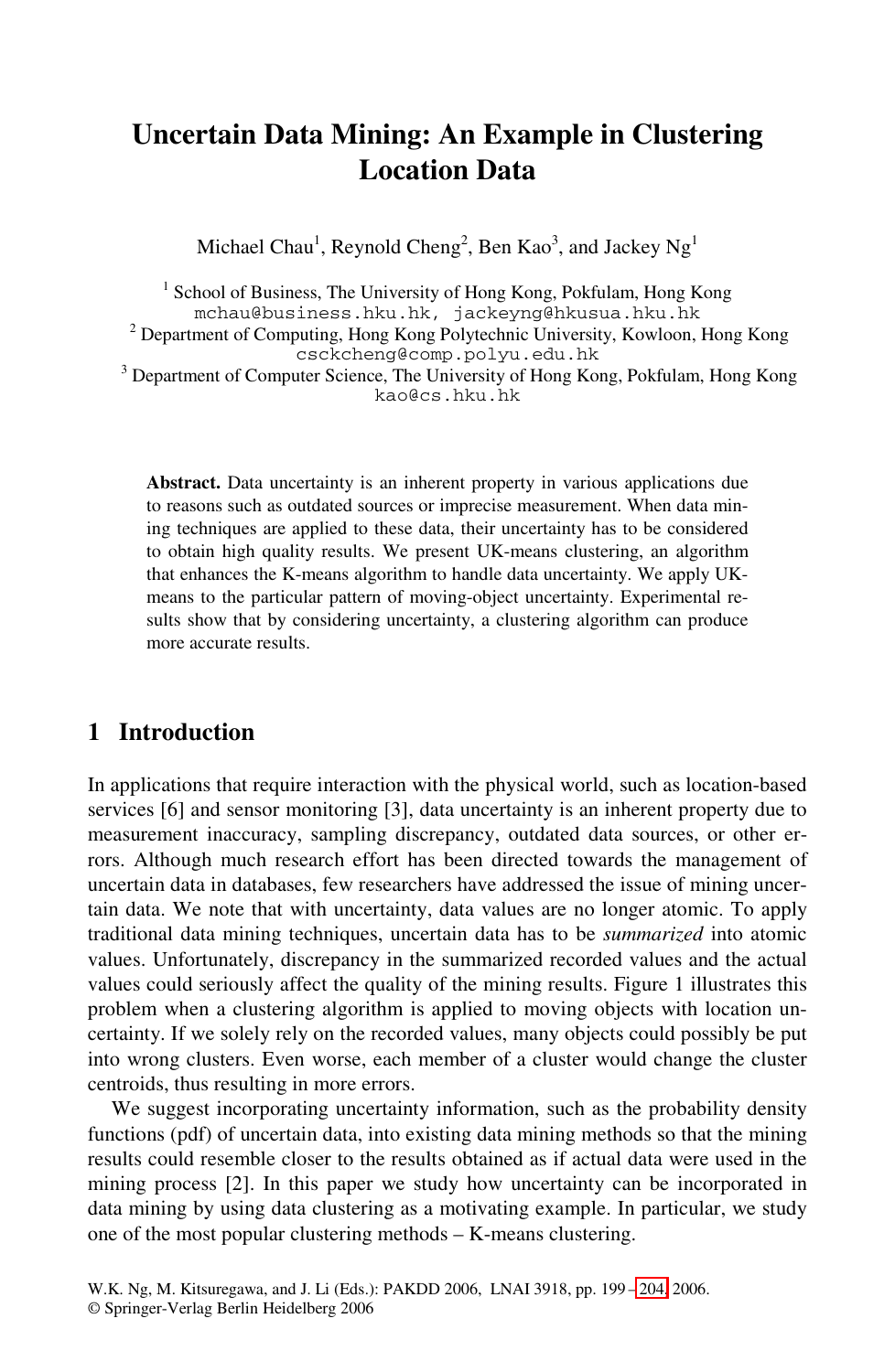# **Uncertain Data Mining: An Example in Clustering Location Data**

Michael Chau $^1$ , Reynold Cheng $^2$ , Ben Kao $^3$ , and Jackey Ng $^1$ 

<sup>1</sup> School of Business, The University of Hong Kong, Pokfulam, Hong Kong mchau@business.hku.hk, jackeyng@hkusua.hku.hk <sup>2</sup> Department of Computing, Hong Kong Polytechnic University, Kowloon, Hong Kong

csckcheng@comp.polyu.edu.hk

<sup>3</sup> Department of Computer Science, The University of Hong Kong, Pokfulam, Hong Kong kao@cs.hku.hk

**Abstract.** Data uncertainty is an inherent property in various applications due to reasons such as outdated sources or imprecise measurement. When data mining techniques are applied to these data, their uncertainty has to be considered to obtain high quality results. We present UK-means clustering, an algorithm that enhances the K-means algorithm to handle data uncertainty. We apply UKmeans to the particular pattern of moving-object uncertainty. Experimental results show that by considering uncertainty, a clustering algorithm can produce more accurate results.

## **1 Introduction**

In applications that require interaction with the physical world, such as location-based services [6] and sensor monitoring [3], data uncertainty is an inherent property due to measurement inaccuracy, sampling discrepancy, outdated data sources, or other errors. Although much research effort has been directed towards the management of uncertain data in databases, few researchers have addressed the issue of mining uncertain data. We note that with uncertainty, data values are no longer atomic. To apply traditional data mining techniques, uncertain data has to be *summarized* into atomic values. Unfortunately, discrepancy in the summarized recorded values and the actual values could seriously affect the quality of the mining results. Figure 1 illustrates this problem when a clustering algorithm is applied to moving objects with location uncertainty. If we solely rely on the recorded values, many objects could possibly be put into wrong clusters. Even worse, each member of a cluster would change the cluster centroids, thus resulting in more errors.

We suggest incorporating uncertainty inf[orma](#page-5-0)tion, such as the probability density functions (pdf) of uncertain data, into existing data mining methods so that the mining results could resemble closer to the results obtained as if actual data were used in the mining process [2]. In this paper we study how uncertainty can be incorporated in data mining by using data clustering as a motivating example. In particular, we study one of the most popular clustering methods – K-means clustering.

W.K. Ng, M. Kitsuregawa, and J. Li (Eds.): PAKDD 2006, LNAI 3918, pp. 199 – 204, 2006. © Springer-Verlag Berlin Heidelberg 2006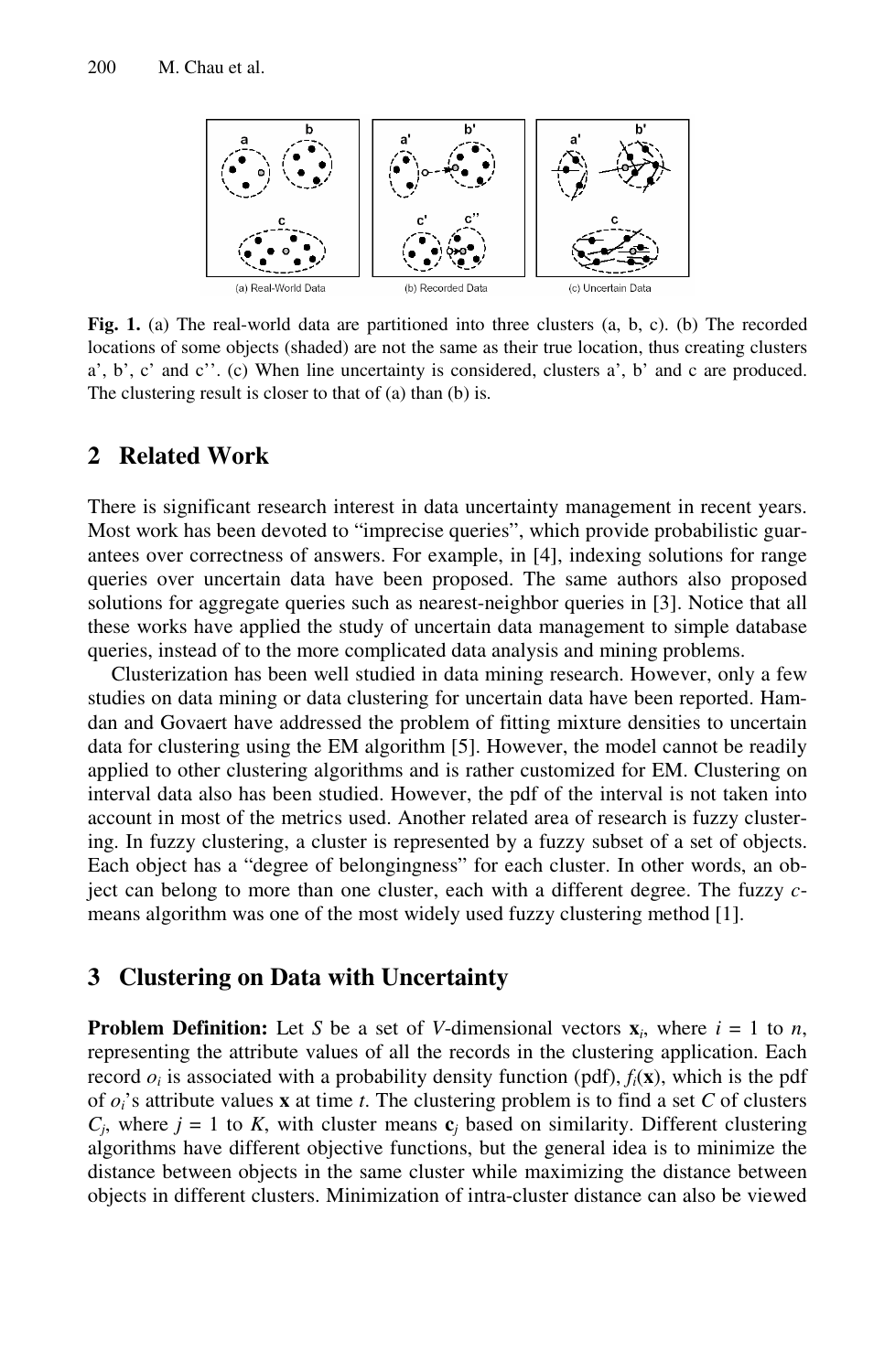

**Fig. 1.** (a) The real-world data are partitioned into three clusters (a, b, c). (b) The recorded locations of some objects (shaded) are not the same as their true location, thus creating clusters a', b', c' and c''. (c) When line uncertainty is considered, clusters a', b' and c are produced. The clustering result is closer to that of (a) than (b) is.

### **2 Related Work**

There is significant research interest in data uncertainty management in recent years. Most work has been devoted to "imprecise queries", which provide probabilistic guarantees over correctness of answers. For example, in [4], indexing solutions for range queries over uncertain data have been proposed. The same authors also proposed solutions for aggregate queries such as nearest-neighbor queries in [3]. Notice that all these works have applied the study of uncertain data management to simple database queries, instead of to the more complicated data analysis and mining problems.

Clusterization has been well studied in data mining research. However, only a few studies on data mining or data clustering for uncertain data have been reported. Hamdan and Govaert have addressed the problem of fitting mixture densities to uncertain data for clustering using the EM algorithm [5]. However, the model cannot be readily applied to other clustering algorithms and is rather customized for EM. Clustering on interval data also has been studied. However, the pdf of the interval is not taken into account in most of the metrics used. Another related area of research is fuzzy clustering. In fuzzy clustering, a cluster is represented by a fuzzy subset of a set of objects. Each object has a "degree of belongingness" for each cluster. In other words, an object can belong to more than one cluster, each with a different degree. The fuzzy *c*means algorithm was one of the most widely used fuzzy clustering method [1].

#### **3 Clustering on Data with Uncertainty**

**Problem Definition:** Let *S* be a set of *V*-dimensional vectors  $\mathbf{x}_i$ , where  $i = 1$  to *n*, representing the attribute values of all the records in the clustering application. Each record  $o_i$  is associated with a probability density function (pdf),  $f_i(\mathbf{x})$ , which is the pdf of *oi*'s attribute values **x** at time *t*. The clustering problem is to find a set *C* of clusters  $C_i$ , where  $j = 1$  to K, with cluster means  $c_j$  based on similarity. Different clustering algorithms have different objective functions, but the general idea is to minimize the distance between objects in the same cluster while maximizing the distance between objects in different clusters. Minimization of intra-cluster distance can also be viewed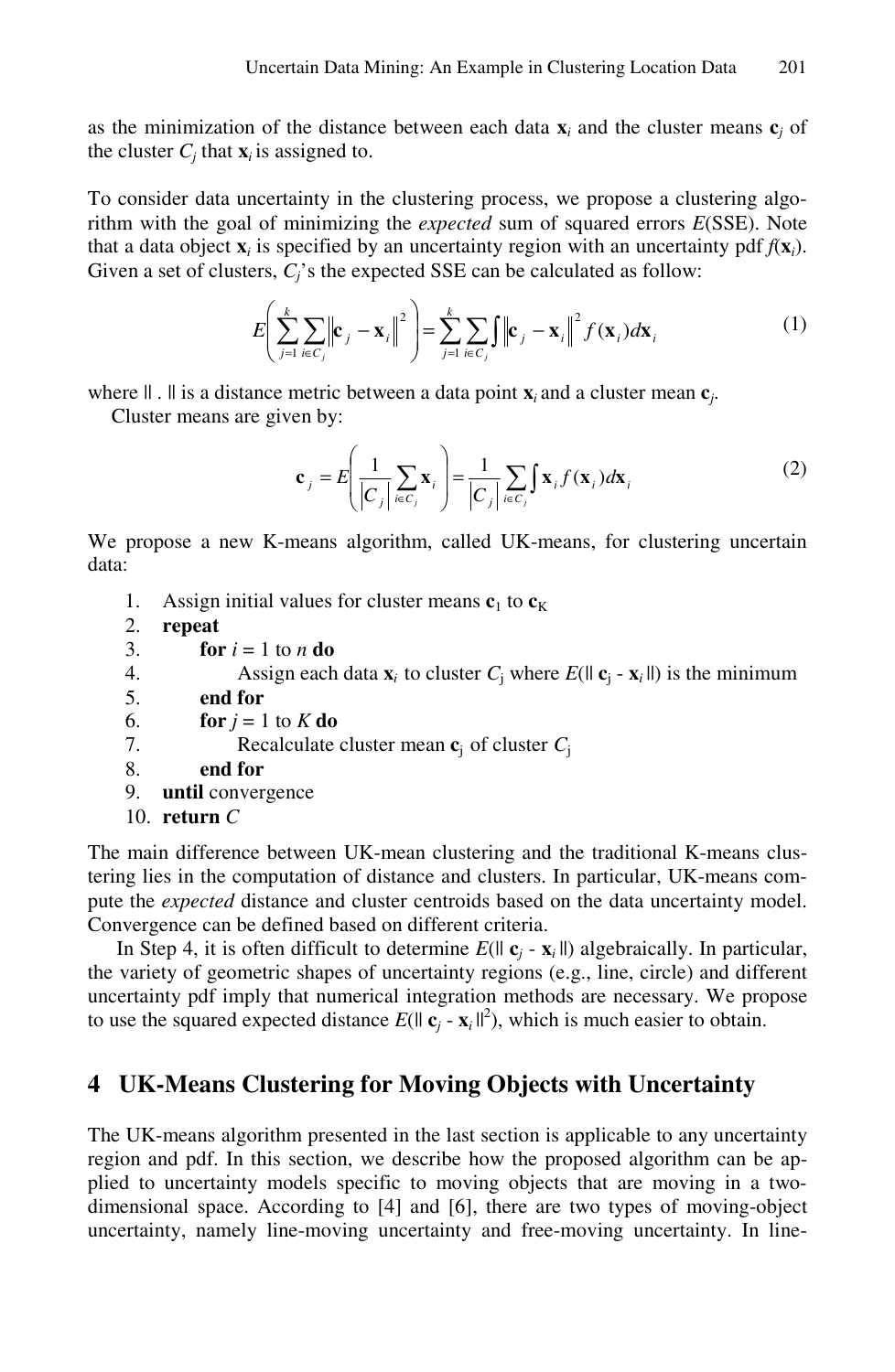as the minimization of the distance between each data  $\mathbf{x}_i$  and the cluster means  $\mathbf{c}_i$  of the cluster  $C_i$  that  $\mathbf{x}_i$  is assigned to.

To consider data uncertainty in the clustering process, we propose a clustering algorithm with the goal of minimizing the *expected* sum of squared errors *E*(SSE). Note that a data object  $\mathbf{x}_i$  is specified by an uncertainty region with an uncertainty pdf  $f(\mathbf{x}_i)$ . Given a set of clusters,  $C_i$ 's the expected SSE can be calculated as follow:

$$
E\left(\sum_{j=1}^{k} \sum_{i \in C_j} \left\| \mathbf{c}_j - \mathbf{x}_i \right\|^2 \right) = \sum_{j=1}^{k} \sum_{i \in C_j} \int \left\| \mathbf{c}_j - \mathbf{x}_i \right\|^2 f(\mathbf{x}_i) d\mathbf{x}_i
$$
 (1)

where  $|| \cdot ||$  is a distance metric between a data point  $\mathbf{x}_i$  and a cluster mean  $\mathbf{c}_i$ .

Cluster means are given by:

$$
\mathbf{c}_{j} = E\left(\frac{1}{|C_{j}|}\sum_{i \in C_{j}} \mathbf{x}_{i}\right) = \frac{1}{|C_{j}|}\sum_{i \in C_{j}} \int \mathbf{x}_{i} f(\mathbf{x}_{i}) d\mathbf{x}_{i}
$$
(2)

We propose a new K-means algorithm, called UK-means, for clustering uncertain data:

- 1. Assign initial values for cluster means  **to**  $**c**<sub>K</sub>$
- 2. **repeat**
- 3. **for**  $i = 1$  to *n* **do**
- 4. Assign each data  $\mathbf{x}_i$  to cluster  $C_i$  where  $E(||\mathbf{c}_i \mathbf{x}_i||)$  is the minimum
- 5. **end for**
- 6. **for**  $j = 1$  to  $K$  **do**
- 7. Recalculate cluster mean **c**<sup>j</sup>of cluster *C*<sup>j</sup>
- 8. **end for**
- 9. **until** convergence
- 10. **return** *C*

The main difference between UK-mean clustering and the traditional K-means clustering lies in the computation of distance and clusters. In particular, UK-means compute the *expected* distance and cluster centroids based on the data uncertainty model. Convergence can be defined based on different criteria.

In Step 4, it is often difficult to determine  $E(|| \mathbf{c}_i - \mathbf{x}_i||)$  algebraically. In particular, the variety of geometric shapes of uncertainty regions (e.g., line, circle) and different uncertainty pdf imply that numerical integration methods are necessary. We propose to use the squared expected distance  $E(|| \mathbf{c}_j - \mathbf{x}_i ||^2)$ , which is much easier to obtain.

### **4 UK-Means Clustering for Moving Objects with Uncertainty**

The UK-means algorithm presented in the last section is applicable to any uncertainty region and pdf. In this section, we describe how the proposed algorithm can be applied to uncertainty models specific to moving objects that are moving in a twodimensional space. According to [4] and [6], there are two types of moving-object uncertainty, namely line-moving uncertainty and free-moving uncertainty. In line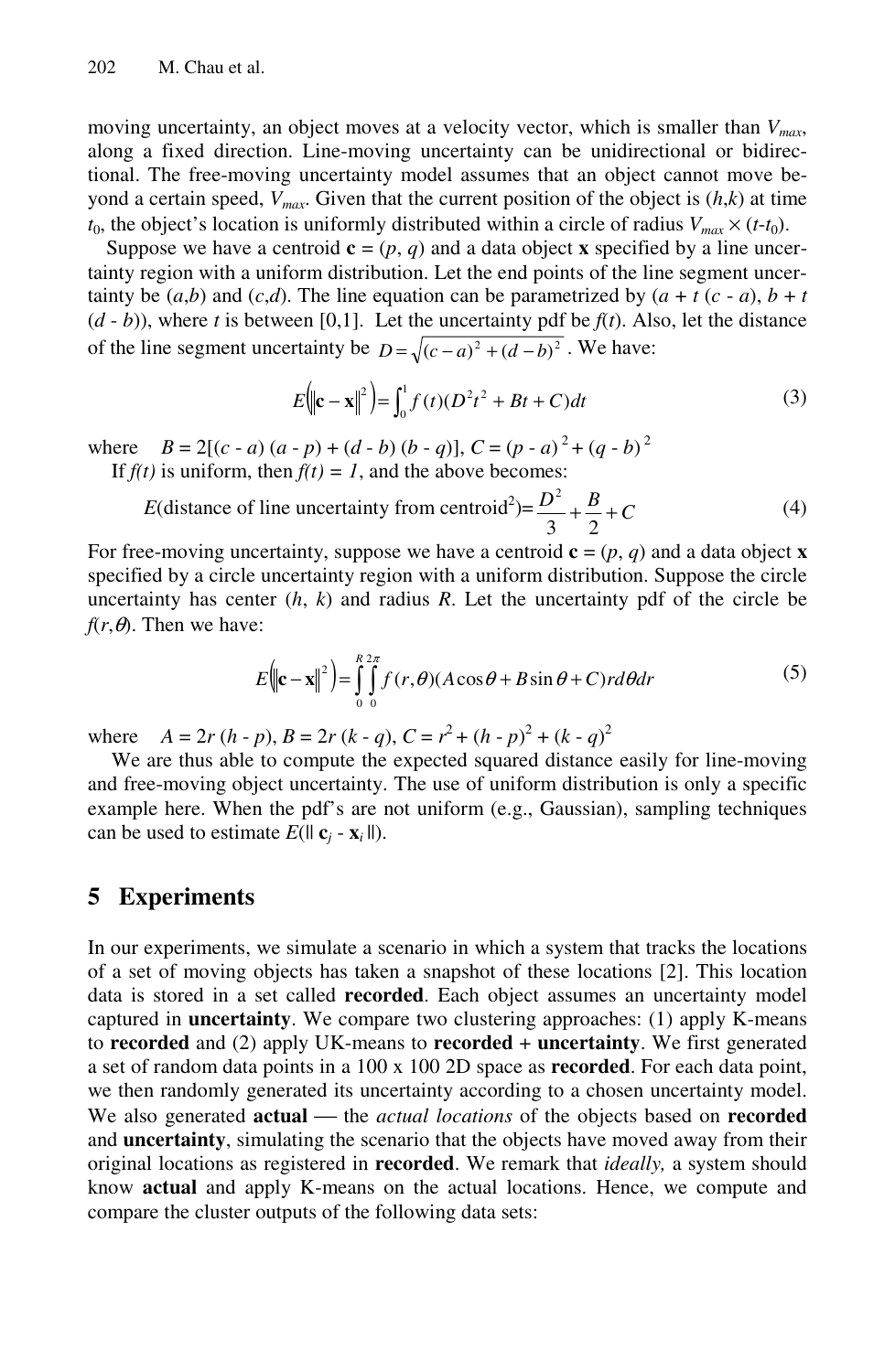moving uncertainty, an object moves at a velocity vector, which is smaller than  $V_{max}$ , along a fixed direction. Line-moving uncertainty can be unidirectional or bidirectional. The free-moving uncertainty model assumes that an object cannot move beyond a certain speed,  $V_{max}$ . Given that the current position of the object is  $(h,k)$  at time  $t_0$ , the object's location is uniformly distributed within a circle of radius  $V_{max} \times (t-t_0)$ .

Suppose we have a centroid  $\mathbf{c} = (p, q)$  and a data object **x** specified by a line uncertainty region with a uniform distribution. Let the end points of the line segment uncertainty be  $(a,b)$  and  $(c,d)$ . The line equation can be parametrized by  $(a + t (c - a), b + t)$  $(d - b)$ ), where *t* is between [0,1]. Let the uncertainty pdf be  $f(t)$ . Also, let the distance of the line segment uncertainty be  $D = \sqrt{(c-a)^2 + (d-b)^2}$ . We have:

$$
E(|\mathbf{c} - \mathbf{x}||^2) = \int_0^1 f(t)(D^2 t^2 + Bt + C)dt
$$
 (3)

where  $B = 2[(c - a)(a - p) + (d - b)(b - q)]$ ,  $C = (p - a)^2 + (q - b)^2$ If  $f(t)$  is uniform, then  $f(t) = 1$ , and the above becomes:

$$
E(\text{distance of line uncertainty from centroid}^2) = \frac{D^2}{3} + \frac{B}{2} + C \tag{4}
$$

For free-moving uncertainty, suppose we have a centroid  $\mathbf{c} = (p, q)$  and a data object **x** specified by a circle uncertainty region with a uniform distribution. Suppose the circle uncertainty has center  $(h, k)$  and radius  $R$ . Let the uncertainty pdf of the circle be  $f(r, \theta)$ . Then we have:

$$
E(|\mathbf{c} - \mathbf{x}|)^2 = \int_{0}^{R} \int_{0}^{2\pi} f(r, \theta) (A \cos \theta + B \sin \theta + C) r d\theta dr
$$
 (5)

where  $A = 2r (h - p)$ ,  $B = 2r (k - q)$ ,  $C = r^2 + (h - p)^2 + (k - q)^2$ 

We are thus able to compute the expected squared distance easily for line-moving and free-moving object uncertainty. The use of uniform distribution is only a specific example here. When the pdf's are not uniform (e.g., Gaussian), sampling techniques can be used to estimate  $E(|| \mathbf{c}_i - \mathbf{x}_i ||)$ .

#### **5 Experiments**

In our experiments, we simulate a scenario in which a system that tracks the locations of a set of moving objects has taken a snapshot of these locations [2]. This location data is stored in a set called **recorded**. Each object assumes an uncertainty model captured in **uncertainty**. We compare two clustering approaches: (1) apply K-means to **recorded** and (2) apply UK-means to **recorded** + **uncertainty**. We first generated a set of random data points in a 100 x 100 2D space as **recorded**. For each data point, we then randomly generated its uncertainty according to a chosen uncertainty model. We also generated **actual** — the *actual locations* of the objects based on **recorded** and **uncertainty**, simulating the scenario that the objects have moved away from their original locations as registered in **recorded**. We remark that *ideally,* a system should know **actual** and apply K-means on the actual locations. Hence, we compute and compare the cluster outputs of the following data sets: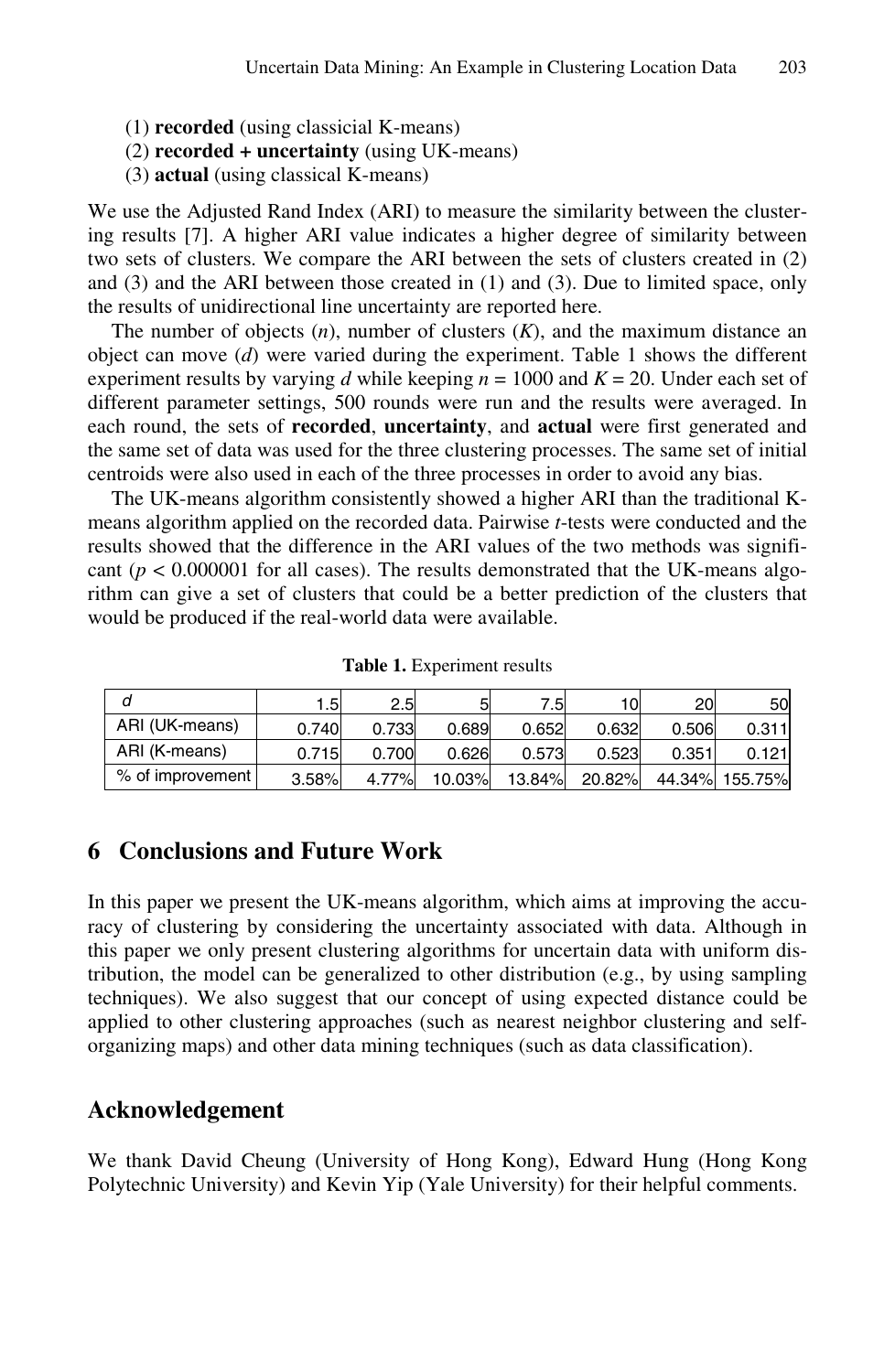- (1) **recorded** (using classicial K-means)
- (2) **recorded + uncertainty** (using UK-means)
- (3) **actual** (using classical K-means)

We use the Adjusted Rand Index (ARI) to measure the similarity between the clustering results [7]. A higher ARI value indicates a higher degree of similarity between two sets of clusters. We compare the ARI between the sets of clusters created in (2) and (3) and the ARI between those created in (1) and (3). Due to limited space, only the results of unidirectional line uncertainty are reported here.

The number of objects (*n*), number of clusters (*K*), and the maximum distance an object can move (*d*) were varied during the experiment. Table 1 shows the different experiment results by varying *d* while keeping  $n = 1000$  and  $K = 20$ . Under each set of different parameter settings, 500 rounds were run and the results were averaged. In each round, the sets of **recorded**, **uncertainty**, and **actual** were first generated and the same set of data was used for the three clustering processes. The same set of initial centroids were also used in each of the three processes in order to avoid any bias.

The UK-means algorithm consistently showed a higher ARI than the traditional Kmeans algorithm applied on the recorded data. Pairwise *t*-tests were conducted and the results showed that the difference in the ARI values of the two methods was significant  $(p < 0.000001$  for all cases). The results demonstrated that the UK-means algorithm can give a set of clusters that could be a better prediction of the clusters that would be produced if the real-world data were available.

|                  | . 5   | 2.5   |        | 7.5I   | 10     | 20    | 50             |
|------------------|-------|-------|--------|--------|--------|-------|----------------|
| ARI (UK-means)   | 0.740 | 0.733 | 0.689  | 0.652  | 0.632  | 0.506 | 0.311          |
| ARI (K-means)    | 0.715 | 0.700 | 0.626  | 0.573  | 0.523  | 0.351 | 0.121          |
| % of improvement | 3.58% | 4.77% | 10.03% | 13.84% | 20.82% |       | 44.34% 155.75% |

**Table 1.** Experiment results

## **6 Conclusions and Future Work**

In this paper we present the UK-means algorithm, which aims at improving the accuracy of clustering by considering the uncertainty associated with data. Although in this paper we only present clustering algorithms for uncertain data with uniform distribution, the model can be generalized to other distribution (e.g., by using sampling techniques). We also suggest that our concept of using expected distance could be applied to other clustering approaches (such as nearest neighbor clustering and selforganizing maps) and other data mining techniques (such as data classification).

#### **Acknowledgement**

We thank David Cheung (University of Hong Kong), Edward Hung (Hong Kong Polytechnic University) and Kevin Yip (Yale University) for their helpful comments.